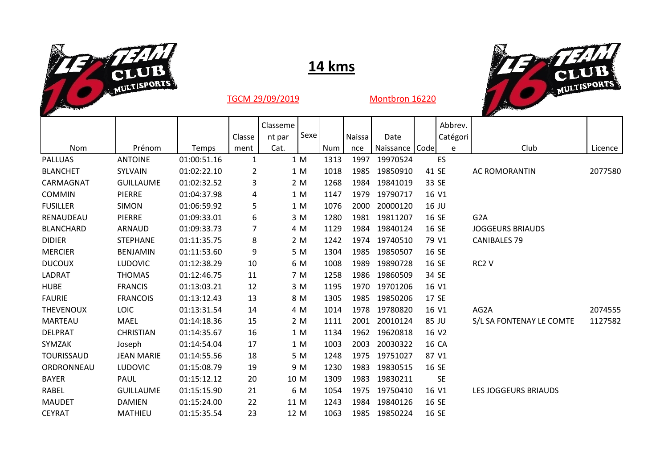

## **14 kms**



| <b>Contract Contract</b> |                   |             |              |          |       |      |        |               |       |           | <b>Service</b>              |         |
|--------------------------|-------------------|-------------|--------------|----------|-------|------|--------|---------------|-------|-----------|-----------------------------|---------|
|                          |                   |             |              | Classeme |       |      |        |               |       | Abbrev.   |                             |         |
|                          |                   |             | Classe       | nt par   | Sexel |      | Naissa | Date          |       | Catégori  |                             |         |
| <b>Nom</b>               | Prénom            | Temps       | ment         | Cat.     |       | Num  | nce    | Naissance     | Code  | e         | Club                        | Licence |
| <b>PALLUAS</b>           | <b>ANTOINE</b>    | 01:00:51.16 | $\mathbf{1}$ |          | 1 M   | 1313 | 1997   | 19970524      |       | ES        |                             |         |
| <b>BLANCHET</b>          | SYLVAIN           | 01:02:22.10 | 2            |          | 1 M   | 1018 | 1985   | 19850910      | 41 SE |           | <b>AC ROMORANTIN</b>        | 2077580 |
| CARMAGNAT                | <b>GUILLAUME</b>  | 01:02:32.52 | 3            |          | 2 M   | 1268 | 1984   | 19841019      | 33 SE |           |                             |         |
| <b>COMMIN</b>            | <b>PIERRE</b>     | 01:04:37.98 | 4            |          | 1 M   | 1147 | 1979   | 19790717      | 16 V1 |           |                             |         |
| <b>FUSILLER</b>          | <b>SIMON</b>      | 01:06:59.92 | 5            |          | 1 M   | 1076 | 2000   | 20000120      | 16 JU |           |                             |         |
| RENAUDEAU                | PIERRE            | 01:09:33.01 | 6            |          | 3 M   | 1280 | 1981   | 19811207      | 16 SE |           | G <sub>2</sub> A            |         |
| <b>BLANCHARD</b>         | ARNAUD            | 01:09:33.73 | 7            |          | 4 M   | 1129 | 1984   | 19840124      | 16 SE |           | <b>JOGGEURS BRIAUDS</b>     |         |
| <b>DIDIER</b>            | <b>STEPHANE</b>   | 01:11:35.75 | 8            |          | 2 M   | 1242 |        | 1974 19740510 | 79 V1 |           | <b>CANIBALES 79</b>         |         |
| <b>MERCIER</b>           | <b>BENJAMIN</b>   | 01:11:53.60 | 9            |          | 5 M   | 1304 | 1985   | 19850507      | 16 SE |           |                             |         |
| <b>DUCOUX</b>            | <b>LUDOVIC</b>    | 01:12:38.29 | 10           |          | 6 M   | 1008 | 1989   | 19890728      | 16 SE |           | RC2 V                       |         |
| LADRAT                   | <b>THOMAS</b>     | 01:12:46.75 | 11           |          | 7 M   | 1258 | 1986   | 19860509      | 34 SE |           |                             |         |
| <b>HUBE</b>              | <b>FRANCIS</b>    | 01:13:03.21 | 12           |          | 3 M   | 1195 | 1970   | 19701206      | 16 V1 |           |                             |         |
| <b>FAURIE</b>            | <b>FRANCOIS</b>   | 01:13:12.43 | 13           |          | 8 M   | 1305 | 1985   | 19850206      | 17 SE |           |                             |         |
| <b>THEVENOUX</b>         | <b>LOIC</b>       | 01:13:31.54 | 14           |          | 4 M   | 1014 | 1978   | 19780820      | 16 V1 |           | AG2A                        | 2074555 |
| <b>MARTEAU</b>           | <b>MAEL</b>       | 01:14:18.36 | 15           |          | 2 M   | 1111 | 2001   | 20010124      | 85 JU |           | S/L SA FONTENAY LE COMTE    | 1127582 |
| <b>DELPRAT</b>           | <b>CHRISTIAN</b>  | 01:14:35.67 | 16           |          | 1 M   | 1134 | 1962   | 19620818      | 16 V2 |           |                             |         |
| SYMZAK                   | Joseph            | 01:14:54.04 | 17           |          | 1 M   | 1003 | 2003   | 20030322      | 16 CA |           |                             |         |
| <b>TOURISSAUD</b>        | <b>JEAN MARIE</b> | 01:14:55.56 | 18           |          | 5 M   | 1248 | 1975   | 19751027      | 87 V1 |           |                             |         |
| ORDRONNEAU               | <b>LUDOVIC</b>    | 01:15:08.79 | 19           |          | 9 M   | 1230 | 1983   | 19830515      | 16 SE |           |                             |         |
| <b>BAYER</b>             | PAUL              | 01:15:12.12 | 20           | 10 M     |       | 1309 | 1983   | 19830211      |       | <b>SE</b> |                             |         |
| RABEL                    | <b>GUILLAUME</b>  | 01:15:15.90 | 21           |          | 6 M   | 1054 | 1975   | 19750410      | 16 V1 |           | <b>LES JOGGEURS BRIAUDS</b> |         |
| <b>MAUDET</b>            | <b>DAMIEN</b>     | 01:15:24.00 | 22           | 11 M     |       | 1243 | 1984   | 19840126      | 16 SE |           |                             |         |
| <b>CEYRAT</b>            | MATHIEU           | 01:15:35.54 | 23           | 12 M     |       | 1063 | 1985   | 19850224      | 16 SE |           |                             |         |

TGCM 29/09/2019 Montbron 16220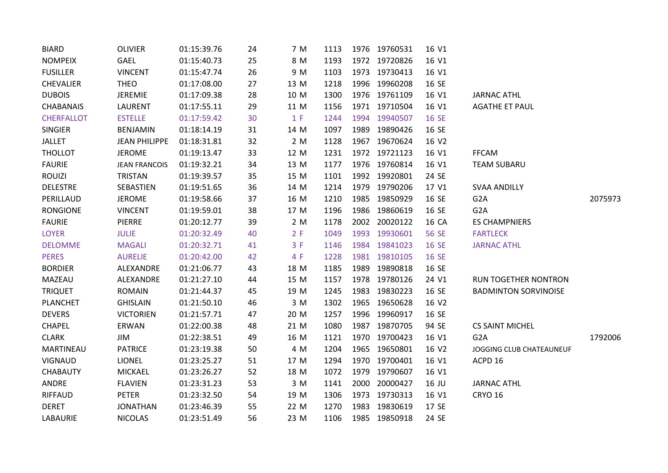| <b>BIARD</b>      | <b>OLIVIER</b>       | 01:15:39.76 | 24 | 7 M  | 1113 | 1976 19760531 | 16 V1 |                             |         |
|-------------------|----------------------|-------------|----|------|------|---------------|-------|-----------------------------|---------|
| <b>NOMPEIX</b>    | GAEL                 | 01:15:40.73 | 25 | 8 M  | 1193 | 1972 19720826 | 16 V1 |                             |         |
| <b>FUSILLER</b>   | <b>VINCENT</b>       | 01:15:47.74 | 26 | 9 M  | 1103 | 1973 19730413 | 16 V1 |                             |         |
| <b>CHEVALIER</b>  | <b>THEO</b>          | 01:17:08.00 | 27 | 13 M | 1218 | 1996 19960208 | 16 SE |                             |         |
| <b>DUBOIS</b>     | <b>JEREMIE</b>       | 01:17:09.38 | 28 | 10 M | 1300 | 1976 19761109 | 16 V1 | <b>JARNAC ATHL</b>          |         |
| <b>CHABANAIS</b>  | LAURENT              | 01:17:55.11 | 29 | 11 M | 1156 | 1971 19710504 | 16 V1 | <b>AGATHE ET PAUL</b>       |         |
| <b>CHERFALLOT</b> | <b>ESTELLE</b>       | 01:17:59.42 | 30 | 1 F  | 1244 | 1994 19940507 | 16 SE |                             |         |
| <b>SINGIER</b>    | <b>BENJAMIN</b>      | 01:18:14.19 | 31 | 14 M | 1097 | 1989 19890426 | 16 SE |                             |         |
| <b>JALLET</b>     | <b>JEAN PHILIPPE</b> | 01:18:31.81 | 32 | 2 M  | 1128 | 1967 19670624 | 16 V2 |                             |         |
| <b>THOLLOT</b>    | <b>JEROME</b>        | 01:19:13.47 | 33 | 12 M | 1231 | 1972 19721123 | 16 V1 | <b>FFCAM</b>                |         |
| <b>FAURIE</b>     | <b>JEAN FRANCOIS</b> | 01:19:32.21 | 34 | 13 M | 1177 | 1976 19760814 | 16 V1 | <b>TEAM SUBARU</b>          |         |
| <b>ROUIZI</b>     | TRISTAN              | 01:19:39.57 | 35 | 15 M | 1101 | 1992 19920801 | 24 SE |                             |         |
| <b>DELESTRE</b>   | SEBASTIEN            | 01:19:51.65 | 36 | 14 M | 1214 | 1979 19790206 | 17 V1 | <b>SVAA ANDILLY</b>         |         |
| PERILLAUD         | <b>JEROME</b>        | 01:19:58.66 | 37 | 16 M | 1210 | 1985 19850929 | 16 SE | G <sub>2</sub> A            | 2075973 |
| <b>RONGIONE</b>   | <b>VINCENT</b>       | 01:19:59.01 | 38 | 17 M | 1196 | 1986 19860619 | 16 SE | G <sub>2</sub> A            |         |
| <b>FAURIE</b>     | PIERRE               | 01:20:12.77 | 39 | 2 M  | 1178 | 2002 20020122 | 16 CA | <b>ES CHAMPNIERS</b>        |         |
| <b>LOYER</b>      | <b>JULIE</b>         | 01:20:32.49 | 40 | 2 F  | 1049 | 1993 19930601 | 56 SE | <b>FARTLECK</b>             |         |
| <b>DELOMME</b>    | <b>MAGALI</b>        | 01:20:32.71 | 41 | 3 F  | 1146 | 1984 19841023 | 16 SE | <b>JARNAC ATHL</b>          |         |
| <b>PERES</b>      | <b>AURELIE</b>       | 01:20:42.00 | 42 | 4 F  | 1228 | 1981 19810105 | 16 SE |                             |         |
| <b>BORDIER</b>    | ALEXANDRE            | 01:21:06.77 | 43 | 18 M | 1185 | 1989 19890818 | 16 SE |                             |         |
| MAZEAU            | ALEXANDRE            | 01:21:27.10 | 44 | 15 M | 1157 | 1978 19780126 | 24 V1 | <b>RUN TOGETHER NONTRON</b> |         |
| <b>TRIQUET</b>    | <b>ROMAIN</b>        | 01:21:44.37 | 45 | 19 M | 1245 | 1983 19830223 | 16 SE | <b>BADMINTON SORVINOISE</b> |         |
| <b>PLANCHET</b>   | <b>GHISLAIN</b>      | 01:21:50.10 | 46 | 3 M  | 1302 | 1965 19650628 | 16 V2 |                             |         |
| <b>DEVERS</b>     | <b>VICTORIEN</b>     | 01:21:57.71 | 47 | 20 M | 1257 | 1996 19960917 | 16 SE |                             |         |
| <b>CHAPEL</b>     | ERWAN                | 01:22:00.38 | 48 | 21 M | 1080 | 1987 19870705 | 94 SE | <b>CS SAINT MICHEL</b>      |         |
| <b>CLARK</b>      | JIM                  | 01:22:38.51 | 49 | 16 M | 1121 | 1970 19700423 | 16 V1 | G <sub>2</sub> A            | 1792006 |
| MARTINEAU         | <b>PATRICE</b>       | 01:23:19.38 | 50 | 4 M  | 1204 | 1965 19650801 | 16 V2 | JOGGING CLUB CHATEAUNEUF    |         |
| <b>VIGNAUD</b>    | <b>LIONEL</b>        | 01:23:25.27 | 51 | 17 M | 1294 | 1970 19700401 | 16 V1 | ACPD 16                     |         |
| CHABAUTY          | <b>MICKAEL</b>       | 01:23:26.27 | 52 | 18 M | 1072 | 1979 19790607 | 16 V1 |                             |         |
| ANDRE             | <b>FLAVIEN</b>       | 01:23:31.23 | 53 | 3 M  | 1141 | 2000 20000427 | 16 JU | <b>JARNAC ATHL</b>          |         |
| <b>RIFFAUD</b>    | <b>PETER</b>         | 01:23:32.50 | 54 | 19 M | 1306 | 1973 19730313 | 16 V1 | <b>CRYO 16</b>              |         |
| <b>DERET</b>      | <b>JONATHAN</b>      | 01:23:46.39 | 55 | 22 M | 1270 | 1983 19830619 | 17 SE |                             |         |
| LABAURIE          | <b>NICOLAS</b>       | 01:23:51.49 | 56 | 23 M | 1106 | 1985 19850918 | 24 SE |                             |         |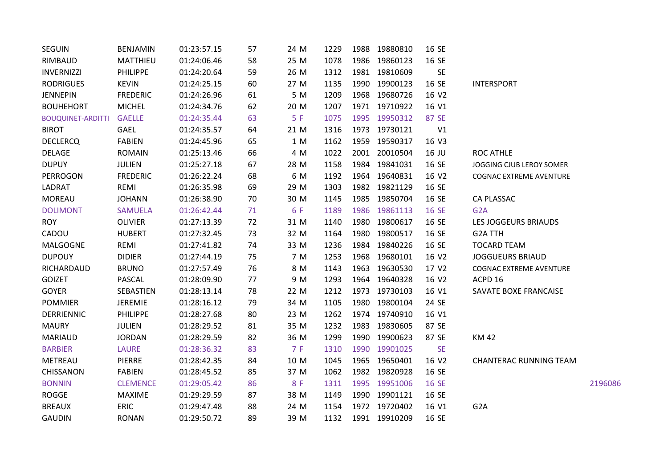| <b>SEGUIN</b>            | BENJAMIN        | 01:23:57.15 | 57 | 24 M | 1229 |      | 1988 19880810 | 16 SE     |                                |         |
|--------------------------|-----------------|-------------|----|------|------|------|---------------|-----------|--------------------------------|---------|
| RIMBAUD                  | MATTHIEU        | 01:24:06.46 | 58 | 25 M | 1078 |      | 1986 19860123 | 16 SE     |                                |         |
| <b>INVERNIZZI</b>        | <b>PHILIPPE</b> | 01:24:20.64 | 59 | 26 M | 1312 |      | 1981 19810609 | SE        |                                |         |
| <b>RODRIGUES</b>         | <b>KEVIN</b>    | 01:24:25.15 | 60 | 27 M | 1135 |      | 1990 19900123 | 16 SE     | <b>INTERSPORT</b>              |         |
| <b>JENNEPIN</b>          | <b>FREDERIC</b> | 01:24:26.96 | 61 | 5 M  | 1209 |      | 1968 19680726 | 16 V2     |                                |         |
| <b>BOUHEHORT</b>         | <b>MICHEL</b>   | 01:24:34.76 | 62 | 20 M | 1207 |      | 1971 19710922 | 16 V1     |                                |         |
| <b>BOUQUINET-ARDITTI</b> | <b>GAELLE</b>   | 01:24:35.44 | 63 | 5F   | 1075 |      | 1995 19950312 | 87 SE     |                                |         |
| <b>BIROT</b>             | GAEL            | 01:24:35.57 | 64 | 21 M | 1316 |      | 1973 19730121 | V1        |                                |         |
| <b>DECLERCQ</b>          | FABIEN          | 01:24:45.96 | 65 | 1 M  | 1162 |      | 1959 19590317 | 16 V3     |                                |         |
| DELAGE                   | <b>ROMAIN</b>   | 01:25:13.46 | 66 | 4 M  | 1022 |      | 2001 20010504 | 16 JU     | <b>ROC ATHLE</b>               |         |
| <b>DUPUY</b>             | JULIEN          | 01:25:27.18 | 67 | 28 M | 1158 |      | 1984 19841031 | 16 SE     | JOGGING CJUB LEROY SOMER       |         |
| <b>PERROGON</b>          | <b>FREDERIC</b> | 01:26:22.24 | 68 | 6 M  | 1192 |      | 1964 19640831 | 16 V2     | <b>COGNAC EXTREME AVENTURE</b> |         |
| LADRAT                   | REMI            | 01:26:35.98 | 69 | 29 M | 1303 |      | 1982 19821129 | 16 SE     |                                |         |
| <b>MOREAU</b>            | <b>JOHANN</b>   | 01:26:38.90 | 70 | 30 M | 1145 |      | 1985 19850704 | 16 SE     | CA PLASSAC                     |         |
| <b>DOLIMONT</b>          | <b>SAMUELA</b>  | 01:26:42.44 | 71 | 6 F  | 1189 |      | 1986 19861113 | 16 SE     | G <sub>2</sub> A               |         |
| <b>ROY</b>               | <b>OLIVIER</b>  | 01:27:13.39 | 72 | 31 M | 1140 |      | 1980 19800617 | 16 SE     | LES JOGGEURS BRIAUDS           |         |
| CADOU                    | <b>HUBERT</b>   | 01:27:32.45 | 73 | 32 M | 1164 | 1980 | 19800517      | 16 SE     | G2A TTH                        |         |
| <b>MALGOGNE</b>          | REMI            | 01:27:41.82 | 74 | 33 M | 1236 |      | 1984 19840226 | 16 SE     | <b>TOCARD TEAM</b>             |         |
| <b>DUPOUY</b>            | <b>DIDIER</b>   | 01:27:44.19 | 75 | 7 M  | 1253 |      | 1968 19680101 | 16 V2     | <b>JOGGUEURS BRIAUD</b>        |         |
| RICHARDAUD               | <b>BRUNO</b>    | 01:27:57.49 | 76 | 8 M  | 1143 |      | 1963 19630530 | 17 V2     | <b>COGNAC EXTREME AVENTURE</b> |         |
| <b>GOIZET</b>            | <b>PASCAL</b>   | 01:28:09.90 | 77 | 9 M  | 1293 |      | 1964 19640328 | 16 V2     | ACPD 16                        |         |
| <b>GOYER</b>             | SEBASTIEN       | 01:28:13.14 | 78 | 22 M | 1212 |      | 1973 19730103 | 16 V1     | SAVATE BOXE FRANCAISE          |         |
| <b>POMMIER</b>           | JEREMIE         | 01:28:16.12 | 79 | 34 M | 1105 |      | 1980 19800104 | 24 SE     |                                |         |
| <b>DERRIENNIC</b>        | <b>PHILIPPE</b> | 01:28:27.68 | 80 | 23 M | 1262 |      | 1974 19740910 | 16 V1     |                                |         |
| <b>MAURY</b>             | <b>JULIEN</b>   | 01:28:29.52 | 81 | 35 M | 1232 |      | 1983 19830605 | 87 SE     |                                |         |
| <b>MARIAUD</b>           | <b>JORDAN</b>   | 01:28:29.59 | 82 | 36 M | 1299 |      | 1990 19900623 | 87 SE     | <b>KM42</b>                    |         |
| <b>BARBIER</b>           | <b>LAURE</b>    | 01:28:36.32 | 83 | 7 F  | 1310 |      | 1990 19901025 | <b>SE</b> |                                |         |
| METREAU                  | PIERRE          | 01:28:42.35 | 84 | 10 M | 1045 |      | 1965 19650401 | 16 V2     | <b>CHANTERAC RUNNING TEAM</b>  |         |
| CHISSANON                | <b>FABIEN</b>   | 01:28:45.52 | 85 | 37 M | 1062 |      | 1982 19820928 | 16 SE     |                                |         |
| <b>BONNIN</b>            | <b>CLEMENCE</b> | 01:29:05.42 | 86 | 8 F  | 1311 |      | 1995 19951006 | 16 SE     |                                | 2196086 |
| <b>ROGGE</b>             | <b>MAXIME</b>   | 01:29:29.59 | 87 | 38 M | 1149 |      | 1990 19901121 | 16 SE     |                                |         |
| <b>BREAUX</b>            | <b>ERIC</b>     | 01:29:47.48 | 88 | 24 M | 1154 |      | 1972 19720402 | 16 V1     | G <sub>2</sub> A               |         |
| <b>GAUDIN</b>            | <b>RONAN</b>    | 01:29:50.72 | 89 | 39 M | 1132 |      | 1991 19910209 | 16 SE     |                                |         |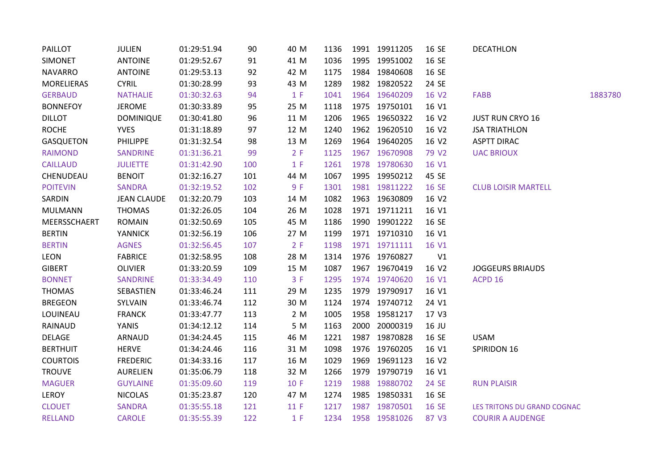| <b>PAILLOT</b>    | <b>JULIEN</b>      | 01:29:51.94 | 90  | 40 M | 1136 | 1991 19911205 | 16 SE             | <b>DECATHLON</b>            |         |
|-------------------|--------------------|-------------|-----|------|------|---------------|-------------------|-----------------------------|---------|
| <b>SIMONET</b>    | <b>ANTOINE</b>     | 01:29:52.67 | 91  | 41 M | 1036 | 1995 19951002 | 16 SE             |                             |         |
| <b>NAVARRO</b>    | <b>ANTOINE</b>     | 01:29:53.13 | 92  | 42 M | 1175 | 1984 19840608 | 16 SE             |                             |         |
| <b>MORELIERAS</b> | <b>CYRIL</b>       | 01:30:28.99 | 93  | 43 M | 1289 | 1982 19820522 | 24 SE             |                             |         |
| <b>GERBAUD</b>    | <b>NATHALIE</b>    | 01:30:32.63 | 94  | 1 F  | 1041 | 1964 19640209 | 16 V2             | FABB                        | 1883780 |
| <b>BONNEFOY</b>   | <b>JEROME</b>      | 01:30:33.89 | 95  | 25 M | 1118 | 1975 19750101 | 16 V1             |                             |         |
| <b>DILLOT</b>     | <b>DOMINIQUE</b>   | 01:30:41.80 | 96  | 11 M | 1206 | 1965 19650322 | 16 V2             | <b>JUST RUN CRYO 16</b>     |         |
| <b>ROCHE</b>      | <b>YVES</b>        | 01:31:18.89 | 97  | 12 M | 1240 | 1962 19620510 | 16 V2             | <b>JSA TRIATHLON</b>        |         |
| <b>GASQUETON</b>  | <b>PHILIPPE</b>    | 01:31:32.54 | 98  | 13 M | 1269 | 1964 19640205 | 16 V2             | <b>ASPTT DIRAC</b>          |         |
| <b>RAIMOND</b>    | <b>SANDRINE</b>    | 01:31:36.21 | 99  | 2 F  | 1125 | 1967 19670908 | 79 V <sub>2</sub> | <b>UAC BRIOUX</b>           |         |
| <b>CAILLAUD</b>   | <b>JULIETTE</b>    | 01:31:42.90 | 100 | 1 F  | 1261 | 1978 19780630 | 16 V1             |                             |         |
| CHENUDEAU         | <b>BENOIT</b>      | 01:32:16.27 | 101 | 44 M | 1067 | 1995 19950212 | 45 SE             |                             |         |
| <b>POITEVIN</b>   | <b>SANDRA</b>      | 01:32:19.52 | 102 | 9 F  | 1301 | 1981 19811222 | 16 SE             | <b>CLUB LOISIR MARTELL</b>  |         |
| SARDIN            | <b>JEAN CLAUDE</b> | 01:32:20.79 | 103 | 14 M | 1082 | 1963 19630809 | 16 V2             |                             |         |
| <b>MULMANN</b>    | <b>THOMAS</b>      | 01:32:26.05 | 104 | 26 M | 1028 | 1971 19711211 | 16 V1             |                             |         |
| MEERSSCHAERT      | <b>ROMAIN</b>      | 01:32:50.69 | 105 | 45 M | 1186 | 1990 19901222 | 16 SE             |                             |         |
| <b>BERTIN</b>     | <b>YANNICK</b>     | 01:32:56.19 | 106 | 27 M | 1199 | 1971 19710310 | 16 V1             |                             |         |
| <b>BERTIN</b>     | <b>AGNES</b>       | 01:32:56.45 | 107 | 2 F  | 1198 | 1971 19711111 | 16 V1             |                             |         |
| LEON              | <b>FABRICE</b>     | 01:32:58.95 | 108 | 28 M | 1314 | 1976 19760827 | V1                |                             |         |
| <b>GIBERT</b>     | <b>OLIVIER</b>     | 01:33:20.59 | 109 | 15 M | 1087 | 1967 19670419 | 16 V2             | <b>JOGGEURS BRIAUDS</b>     |         |
| <b>BONNET</b>     | <b>SANDRINE</b>    | 01:33:34.49 | 110 | 3 F  | 1295 | 1974 19740620 | 16 V1             | ACPD 16                     |         |
| <b>THOMAS</b>     | SEBASTIEN          | 01:33:46.24 | 111 | 29 M | 1235 | 1979 19790917 | 16 V1             |                             |         |
| <b>BREGEON</b>    | SYLVAIN            | 01:33:46.74 | 112 | 30 M | 1124 | 1974 19740712 | 24 V1             |                             |         |
| LOUINEAU          | <b>FRANCK</b>      | 01:33:47.77 | 113 | 2 M  | 1005 | 1958 19581217 | 17 V3             |                             |         |
| RAINAUD           | YANIS              | 01:34:12.12 | 114 | 5 M  | 1163 | 2000 20000319 | 16 JU             |                             |         |
| DELAGE            | ARNAUD             | 01:34:24.45 | 115 | 46 M | 1221 | 1987 19870828 | 16 SE             | <b>USAM</b>                 |         |
| <b>BERTHUIT</b>   | <b>HERVE</b>       | 01:34:24.46 | 116 | 31 M | 1098 | 1976 19760205 | 16 V1             | SPIRIDON 16                 |         |
| <b>COURTOIS</b>   | <b>FREDERIC</b>    | 01:34:33.16 | 117 | 16 M | 1029 | 1969 19691123 | 16 V2             |                             |         |
| <b>TROUVE</b>     | <b>AURELIEN</b>    | 01:35:06.79 | 118 | 32 M | 1266 | 1979 19790719 | 16 V1             |                             |         |
| <b>MAGUER</b>     | <b>GUYLAINE</b>    | 01:35:09.60 | 119 | 10 F | 1219 | 1988 19880702 | 24 SE             | <b>RUN PLAISIR</b>          |         |
| LEROY             | <b>NICOLAS</b>     | 01:35:23.87 | 120 | 47 M | 1274 | 1985 19850331 | 16 SE             |                             |         |
| <b>CLOUET</b>     | <b>SANDRA</b>      | 01:35:55.18 | 121 | 11F  | 1217 | 1987 19870501 | 16 SE             | LES TRITONS DU GRAND COGNAC |         |
| <b>RELLAND</b>    | <b>CAROLE</b>      | 01:35:55.39 | 122 | 1 F  | 1234 | 1958 19581026 | 87 V3             | <b>COURIR A AUDENGE</b>     |         |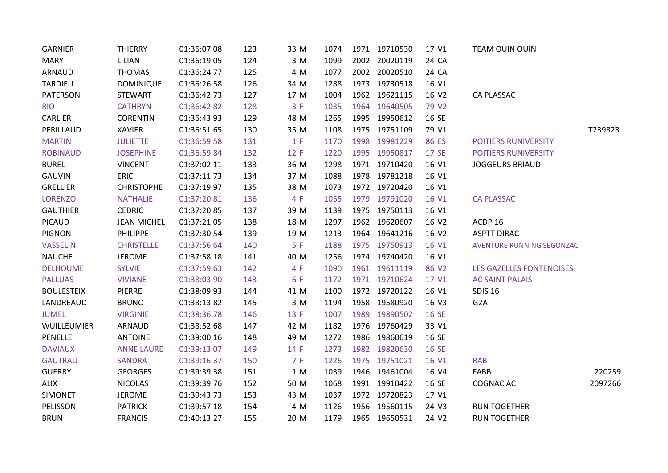| <b>GARNIER</b>    | <b>THIERRY</b>     | 01:36:07.08 | 123 | 33 M | 1074 | 1971 19710530 | 17 V1             | TEAM OUIN OUIN                   |         |
|-------------------|--------------------|-------------|-----|------|------|---------------|-------------------|----------------------------------|---------|
| <b>MARY</b>       | LILIAN             | 01:36:19.05 | 124 | 3 M  | 1099 | 2002 20020119 | 24 CA             |                                  |         |
| ARNAUD            | <b>THOMAS</b>      | 01:36:24.77 | 125 | 4 M  | 1077 | 2002 20020510 | 24 CA             |                                  |         |
| <b>TARDIEU</b>    | <b>DOMINIQUE</b>   | 01:36:26.58 | 126 | 34 M | 1288 | 1973 19730518 | 16 V1             |                                  |         |
| PATERSON          | <b>STEWART</b>     | 01:36:42.73 | 127 | 17 M | 1004 | 1962 19621115 | 16 V2             | CA PLASSAC                       |         |
| <b>RIO</b>        | <b>CATHRYN</b>     | 01:36:42.82 | 128 | 3 F  | 1035 | 1964 19640505 | 79 V <sub>2</sub> |                                  |         |
| <b>CARLIER</b>    | <b>CORENTIN</b>    | 01:36:43.93 | 129 | 48 M | 1265 | 1995 19950612 | 16 SE             |                                  |         |
| PERILLAUD         | <b>XAVIER</b>      | 01:36:51.65 | 130 | 35 M | 1108 | 1975 19751109 | 79 V1             |                                  | T239823 |
| <b>MARTIN</b>     | <b>JULIETTE</b>    | 01:36:59.58 | 131 | 1 F  | 1170 | 1998 19981229 | 86 ES             | <b>POITIERS RUNIVERSITY</b>      |         |
| <b>ROBINAUD</b>   | <b>JOSEPHINE</b>   | 01:36:59.84 | 132 | 12 F | 1220 | 1995 19950817 | 17 SE             | POITIERS RUNIVERSITY             |         |
| <b>BUREL</b>      | <b>VINCENT</b>     | 01:37:02.11 | 133 | 36 M | 1298 | 1971 19710420 | 16 V1             | <b>JOGGEURS BRIAUD</b>           |         |
| <b>GAUVIN</b>     | ERIC               | 01:37:11.73 | 134 | 37 M | 1088 | 1978 19781218 | 16 V1             |                                  |         |
| <b>GRELLIER</b>   | <b>CHRISTOPHE</b>  | 01:37:19.97 | 135 | 38 M | 1073 | 1972 19720420 | 16 V1             |                                  |         |
| <b>LORENZO</b>    | <b>NATHALIE</b>    | 01:37:20.81 | 136 | 4 F  | 1055 | 1979 19791020 | 16 V1             | <b>CA PLASSAC</b>                |         |
| <b>GAUTHIER</b>   | <b>CEDRIC</b>      | 01:37:20.85 | 137 | 39 M | 1139 | 1975 19750113 | 16 V1             |                                  |         |
| PICAUD            | <b>JEAN MICHEL</b> | 01:37:21.05 | 138 | 18 M | 1297 | 1962 19620607 | 16 V2             | ACDP 16                          |         |
| <b>PIGNON</b>     | <b>PHILIPPE</b>    | 01:37:30.54 | 139 | 19 M | 1213 | 1964 19641216 | 16 V2             | <b>ASPTT DIRAC</b>               |         |
| <b>VASSELIN</b>   | <b>CHRISTELLE</b>  | 01:37:56.64 | 140 | 5F   | 1188 | 1975 19750913 | 16 V1             | <b>AVENTURE RUNNING SEGONZAC</b> |         |
| <b>NAUCHE</b>     | <b>JEROME</b>      | 01:37:58.18 | 141 | 40 M | 1256 | 1974 19740420 | 16 V1             |                                  |         |
| <b>DELHOUME</b>   | <b>SYLVIE</b>      | 01:37:59.63 | 142 | 4 F  | 1090 | 1961 19611119 | 86 V2             | <b>LES GAZELLES FONTENOISES</b>  |         |
| <b>PALLUAS</b>    | <b>VIVIANE</b>     | 01:38:03.90 | 143 | 6 F  | 1172 | 1971 19710624 | 17 V1             | <b>AC SAINT PALAIS</b>           |         |
| <b>BOULESTEIX</b> | PIERRE             | 01:38:09.93 | 144 | 41 M | 1100 | 1972 19720122 | 16 V1             | <b>SDIS 16</b>                   |         |
| LANDREAUD         | <b>BRUNO</b>       | 01:38:13.82 | 145 | 3 M  | 1194 | 1958 19580920 | 16 V3             | G <sub>2</sub> A                 |         |
| <b>JUMEL</b>      | <b>VIRGINIE</b>    | 01:38:36.78 | 146 | 13 F | 1007 | 1989 19890502 | 16 SE             |                                  |         |
| WUILLEUMIER       | ARNAUD             | 01:38:52.68 | 147 | 42 M | 1182 | 1976 19760429 | 33 V1             |                                  |         |
| PENELLE           | <b>ANTOINE</b>     | 01:39:00.16 | 148 | 49 M | 1272 | 1986 19860619 | 16 SE             |                                  |         |
| <b>DAVIAUX</b>    | <b>ANNE LAURE</b>  | 01:39:13.07 | 149 | 14 F | 1273 | 1982 19820630 | 16 SE             |                                  |         |
| <b>GAUTRAU</b>    | <b>SANDRA</b>      | 01:39:16.37 | 150 | 7 F  | 1226 | 1975 19751021 | 16 V1             | <b>RAB</b>                       |         |
| <b>GUERRY</b>     | <b>GEORGES</b>     | 01:39:39.38 | 151 | 1 M  | 1039 | 1946 19461004 | 16 V4             | FABB                             | 220259  |
| <b>ALIX</b>       | <b>NICOLAS</b>     | 01:39:39.76 | 152 | 50 M | 1068 | 1991 19910422 | 16 SE             | <b>COGNAC AC</b>                 | 2097266 |
| <b>SIMONET</b>    | <b>JEROME</b>      | 01:39:43.73 | 153 | 43 M | 1037 | 1972 19720823 | 17 V1             |                                  |         |
| PELISSON          | <b>PATRICK</b>     | 01:39:57.18 | 154 | 4 M  | 1126 | 1956 19560115 | 24 V3             | <b>RUN TOGETHER</b>              |         |
| <b>BRUN</b>       | <b>FRANCIS</b>     | 01:40:13.27 | 155 | 20 M | 1179 | 1965 19650531 | 24 V <sub>2</sub> | <b>RUN TOGETHER</b>              |         |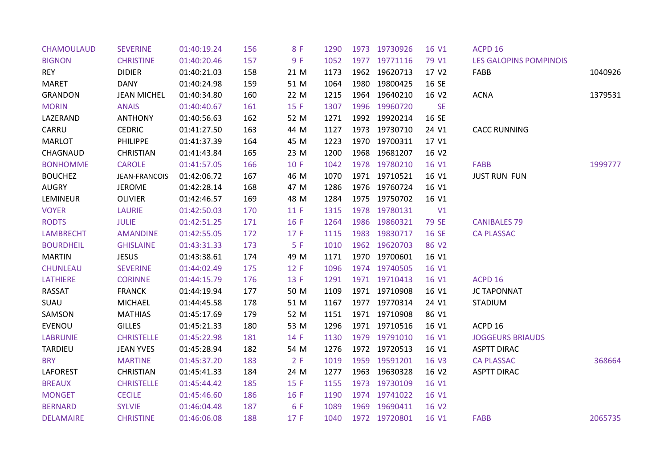| <b>CHAMOULAUD</b> | <b>SEVERINE</b>    | 01:40:19.24 | 156 | 8 F  | 1290 | 1973 19730926 | 16 V1             | ACPD <sub>16</sub>            |         |
|-------------------|--------------------|-------------|-----|------|------|---------------|-------------------|-------------------------------|---------|
| <b>BIGNON</b>     | <b>CHRISTINE</b>   | 01:40:20.46 | 157 | 9F   | 1052 | 1977 19771116 | 79 V1             | <b>LES GALOPINS POMPINOIS</b> |         |
| <b>REY</b>        | <b>DIDIER</b>      | 01:40:21.03 | 158 | 21 M | 1173 | 1962 19620713 | 17 V <sub>2</sub> | FABB                          | 1040926 |
| <b>MARET</b>      | DANY               | 01:40:24.98 | 159 | 51 M | 1064 | 1980 19800425 | 16 SE             |                               |         |
| <b>GRANDON</b>    | <b>JEAN MICHEL</b> | 01:40:34.80 | 160 | 22 M | 1215 | 1964 19640210 | 16 V2             | <b>ACNA</b>                   | 1379531 |
| <b>MORIN</b>      | <b>ANAIS</b>       | 01:40:40.67 | 161 | 15 F | 1307 | 1996 19960720 | <b>SE</b>         |                               |         |
| LAZERAND          | <b>ANTHONY</b>     | 01:40:56.63 | 162 | 52 M | 1271 | 1992 19920214 | 16 SE             |                               |         |
| CARRU             | <b>CEDRIC</b>      | 01:41:27.50 | 163 | 44 M | 1127 | 1973 19730710 | 24 V1             | <b>CACC RUNNING</b>           |         |
| <b>MARLOT</b>     | <b>PHILIPPE</b>    | 01:41:37.39 | 164 | 45 M | 1223 | 1970 19700311 | 17 V1             |                               |         |
| CHAGNAUD          | <b>CHRISTIAN</b>   | 01:41:43.84 | 165 | 23 M | 1200 | 1968 19681207 | 16 V2             |                               |         |
| <b>BONHOMME</b>   | <b>CAROLE</b>      | 01:41:57.05 | 166 | 10 F | 1042 | 1978 19780210 | 16 V1             | FABB                          | 1999777 |
| <b>BOUCHEZ</b>    | JEAN-FRANCOIS      | 01:42:06.72 | 167 | 46 M | 1070 | 1971 19710521 | 16 V1             | <b>JUST RUN FUN</b>           |         |
| <b>AUGRY</b>      | <b>JEROME</b>      | 01:42:28.14 | 168 | 47 M | 1286 | 1976 19760724 | 16 V1             |                               |         |
| LEMINEUR          | <b>OLIVIER</b>     | 01:42:46.57 | 169 | 48 M | 1284 | 1975 19750702 | 16 V1             |                               |         |
| <b>VOYER</b>      | <b>LAURIE</b>      | 01:42:50.03 | 170 | 11F  | 1315 | 1978 19780131 | V1                |                               |         |
| <b>RODTS</b>      | <b>JULIE</b>       | 01:42:51.25 | 171 | 16 F | 1264 | 1986 19860321 | 79 SE             | <b>CANIBALES 79</b>           |         |
| <b>LAMBRECHT</b>  | <b>AMANDINE</b>    | 01:42:55.05 | 172 | 17 F | 1115 | 1983 19830717 | 16 SE             | <b>CA PLASSAC</b>             |         |
| <b>BOURDHEIL</b>  | <b>GHISLAINE</b>   | 01:43:31.33 | 173 | 5F   | 1010 | 1962 19620703 | 86 V2             |                               |         |
| <b>MARTIN</b>     | <b>JESUS</b>       | 01:43:38.61 | 174 | 49 M | 1171 | 1970 19700601 | 16 V1             |                               |         |
| <b>CHUNLEAU</b>   | <b>SEVERINE</b>    | 01:44:02.49 | 175 | 12 F | 1096 | 1974 19740505 | 16 V1             |                               |         |
| LATHIERE          | <b>CORINNE</b>     | 01:44:15.79 | 176 | 13 F | 1291 | 1971 19710413 | 16 V1             | ACPD 16                       |         |
| RASSAT            | <b>FRANCK</b>      | 01:44:19.94 | 177 | 50 M | 1109 | 1971 19710908 | 16 V1             | <b>JC TAPONNAT</b>            |         |
| SUAU              | <b>MICHAEL</b>     | 01:44:45.58 | 178 | 51 M | 1167 | 1977 19770314 | 24 V1             | <b>STADIUM</b>                |         |
| SAMSON            | <b>MATHIAS</b>     | 01:45:17.69 | 179 | 52 M | 1151 | 1971 19710908 | 86 V1             |                               |         |
| EVENOU            | <b>GILLES</b>      | 01:45:21.33 | 180 | 53 M | 1296 | 1971 19710516 | 16 V1             | ACPD 16                       |         |
| <b>LABRUNIE</b>   | <b>CHRISTELLE</b>  | 01:45:22.98 | 181 | 14 F | 1130 | 1979 19791010 | 16 V1             | <b>JOGGEURS BRIAUDS</b>       |         |
| <b>TARDIEU</b>    | <b>JEAN YVES</b>   | 01:45:28.94 | 182 | 54 M | 1276 | 1972 19720513 | 16 V1             | <b>ASPTT DIRAC</b>            |         |
| <b>BRY</b>        | <b>MARTINE</b>     | 01:45:37.20 | 183 | 2 F  | 1019 | 1959 19591201 | 16 V3             | <b>CA PLASSAC</b>             | 368664  |
| LAFOREST          | <b>CHRISTIAN</b>   | 01:45:41.33 | 184 | 24 M | 1277 | 1963 19630328 | 16 V <sub>2</sub> | <b>ASPTT DIRAC</b>            |         |
| <b>BREAUX</b>     | <b>CHRISTELLE</b>  | 01:45:44.42 | 185 | 15 F | 1155 | 1973 19730109 | 16 V1             |                               |         |
| <b>MONGET</b>     | <b>CECILE</b>      | 01:45:46.60 | 186 | 16 F | 1190 | 1974 19741022 | 16 V1             |                               |         |
| <b>BERNARD</b>    | <b>SYLVIE</b>      | 01:46:04.48 | 187 | 6 F  | 1089 | 1969 19690411 | 16 V <sub>2</sub> |                               |         |
| <b>DELAMAIRE</b>  | <b>CHRISTINE</b>   | 01:46:06.08 | 188 | 17 F | 1040 | 1972 19720801 | 16 V1             | <b>FABB</b>                   | 2065735 |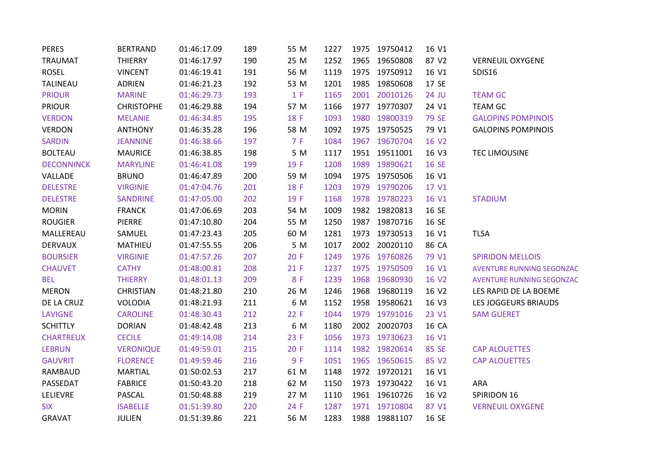| <b>PERES</b>      | <b>BERTRAND</b>   | 01:46:17.09 | 189 | 55 M | 1227 |      | 1975 19750412 | 16 V1        |                                  |
|-------------------|-------------------|-------------|-----|------|------|------|---------------|--------------|----------------------------------|
| <b>TRAUMAT</b>    | <b>THIERRY</b>    | 01:46:17.97 | 190 | 25 M | 1252 |      | 1965 19650808 | 87 V2        | <b>VERNEUIL OXYGENE</b>          |
| <b>ROSEL</b>      | <b>VINCENT</b>    | 01:46:19.41 | 191 | 56 M | 1119 |      | 1975 19750912 | 16 V1        | SDIS16                           |
| <b>TALINEAU</b>   | <b>ADRIEN</b>     | 01:46:21.23 | 192 | 53 M | 1201 | 1985 | 19850608      | 17 SE        |                                  |
| <b>PRIOUR</b>     | <b>MARINE</b>     | 01:46:29.73 | 193 | 1 F  | 1165 | 2001 | 20010126      | 24 JU        | <b>TEAM GC</b>                   |
| <b>PRIOUR</b>     | <b>CHRISTOPHE</b> | 01:46:29.88 | 194 | 57 M | 1166 | 1977 | 19770307      | 24 V1        | <b>TEAM GC</b>                   |
| <b>VERDON</b>     | <b>MELANIE</b>    | 01:46:34.85 | 195 | 18 F | 1093 | 1980 | 19800319      | <b>79 SE</b> | <b>GALOPINS POMPINOIS</b>        |
| <b>VERDON</b>     | <b>ANTHONY</b>    | 01:46:35.28 | 196 | 58 M | 1092 |      | 1975 19750525 | 79 V1        | <b>GALOPINS POMPINOIS</b>        |
| <b>SARDIN</b>     | <b>JEANNINE</b>   | 01:46:38.66 | 197 | 7 F  | 1084 |      | 1967 19670704 | 16 V2        |                                  |
| <b>BOLTEAU</b>    | <b>MAURICE</b>    | 01:46:38.85 | 198 | 5 M  | 1117 |      | 1951 19511001 | 16 V3        | <b>TEC LIMOUSINE</b>             |
| <b>DECONNINCK</b> | <b>MARYLINE</b>   | 01:46:41.08 | 199 | 19 F | 1208 |      | 1989 19890621 | 16 SE        |                                  |
| VALLADE           | <b>BRUNO</b>      | 01:46:47.89 | 200 | 59 M | 1094 |      | 1975 19750506 | 16 V1        |                                  |
| <b>DELESTRE</b>   | <b>VIRGINIE</b>   | 01:47:04.76 | 201 | 18 F | 1203 |      | 1979 19790206 | 17 V1        |                                  |
| <b>DELESTRE</b>   | <b>SANDRINE</b>   | 01:47:05.00 | 202 | 19 F | 1168 |      | 1978 19780223 | 16 V1        | <b>STADIUM</b>                   |
| <b>MORIN</b>      | <b>FRANCK</b>     | 01:47:06.69 | 203 | 54 M | 1009 |      | 1982 19820813 | 16 SE        |                                  |
| <b>ROUGIER</b>    | PIERRE            | 01:47:10.80 | 204 | 55 M | 1250 |      | 1987 19870716 | 16 SE        |                                  |
| MALLEREAU         | SAMUEL            | 01:47:23.43 | 205 | 60 M | 1281 |      | 1973 19730513 | 16 V1        | <b>TLSA</b>                      |
| <b>DERVAUX</b>    | MATHIEU           | 01:47:55.55 | 206 | 5 M  | 1017 |      | 2002 20020110 | 86 CA        |                                  |
| <b>BOURSIER</b>   | <b>VIRGINIE</b>   | 01:47:57.26 | 207 | 20 F | 1249 |      | 1976 19760826 | 79 V1        | <b>SPIRIDON MELLOIS</b>          |
| <b>CHAUVET</b>    | <b>CATHY</b>      | 01:48:00.81 | 208 | 21 F | 1237 |      | 1975 19750509 | 16 V1        | <b>AVENTURE RUNNING SEGONZAC</b> |
| <b>BEL</b>        | <b>THIERRY</b>    | 01:48:01.13 | 209 | 8 F  | 1239 | 1968 | 19680930      | 16 V2        | <b>AVENTURE RUNNING SEGONZAC</b> |
| <b>MERON</b>      | <b>CHRISTIAN</b>  | 01:48:21.80 | 210 | 26 M | 1246 |      | 1968 19680119 | 16 V2        | LES RAPID DE LA BOEME            |
| DE LA CRUZ        | <b>VOLODIA</b>    | 01:48:21.93 | 211 | 6 M  | 1152 | 1958 | 19580621      | 16 V3        | LES JOGGEURS BRIAUDS             |
| <b>LAVIGNE</b>    | <b>CAROLINE</b>   | 01:48:30.43 | 212 | 22 F | 1044 |      | 1979 19791016 | 23 V1        | <b>SAM GUERET</b>                |
| <b>SCHITTLY</b>   | <b>DORIAN</b>     | 01:48:42.48 | 213 | 6 M  | 1180 |      | 2002 20020703 | 16 CA        |                                  |
| <b>CHARTREUX</b>  | <b>CECILE</b>     | 01:49:14.08 | 214 | 23 F | 1056 |      | 1973 19730623 | 16 V1        |                                  |
| <b>LEBRUN</b>     | <b>VERONIQUE</b>  | 01:49:59.01 | 215 | 20 F | 1114 |      | 1982 19820614 | 85 SE        | <b>CAP ALOUETTES</b>             |
| <b>GAUVRIT</b>    | <b>FLORENCE</b>   | 01:49:59.46 | 216 | 9 F  | 1051 |      | 1965 19650615 | 85 V2        | <b>CAP ALOUETTES</b>             |
| RAMBAUD           | <b>MARTIAL</b>    | 01:50:02.53 | 217 | 61 M | 1148 |      | 1972 19720121 | 16 V1        |                                  |
| PASSEDAT          | <b>FABRICE</b>    | 01:50:43.20 | 218 | 62 M | 1150 |      | 1973 19730422 | 16 V1        | ARA                              |
| LELIEVRE          | PASCAL            | 01:50:48.88 | 219 | 27 M | 1110 |      | 1961 19610726 | 16 V2        | SPIRIDON 16                      |
| <b>SIX</b>        | <b>ISABELLE</b>   | 01:51:39.80 | 220 | 24 F | 1287 |      | 1971 19710804 | 87 V1        | <b>VERNEUIL OXYGENE</b>          |
| <b>GRAVAT</b>     | <b>JULIEN</b>     | 01:51:39.86 | 221 | 56 M | 1283 |      | 1988 19881107 | 16 SE        |                                  |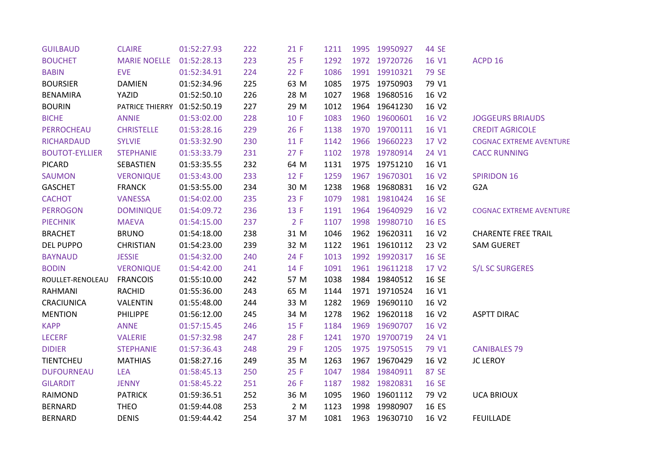| <b>GUILBAUD</b>       | <b>CLAIRE</b>       | 01:52:27.93 | 222 | 21 F | 1211 |      | 1995 19950927 | 44 SE        |                                |
|-----------------------|---------------------|-------------|-----|------|------|------|---------------|--------------|--------------------------------|
| <b>BOUCHET</b>        | <b>MARIE NOELLE</b> | 01:52:28.13 | 223 | 25 F | 1292 |      | 1972 19720726 | 16 V1        | ACPD 16                        |
| <b>BABIN</b>          | <b>EVE</b>          | 01:52:34.91 | 224 | 22 F | 1086 |      | 1991 19910321 | 79 SE        |                                |
| <b>BOURSIER</b>       | <b>DAMIEN</b>       | 01:52:34.96 | 225 | 63 M | 1085 |      | 1975 19750903 | 79 V1        |                                |
| <b>BENAMIRA</b>       | YAZID               | 01:52:50.10 | 226 | 28 M | 1027 | 1968 | 19680516      | 16 V2        |                                |
| <b>BOURIN</b>         | PATRICE THIERRY     | 01:52:50.19 | 227 | 29 M | 1012 | 1964 | 19641230      | 16 V2        |                                |
| <b>BICHE</b>          | <b>ANNIE</b>        | 01:53:02.00 | 228 | 10 F | 1083 |      | 1960 19600601 | 16 V2        | <b>JOGGEURS BRIAUDS</b>        |
| PERROCHEAU            | <b>CHRISTELLE</b>   | 01:53:28.16 | 229 | 26 F | 1138 |      | 1970 19700111 | 16 V1        | <b>CREDIT AGRICOLE</b>         |
| <b>RICHARDAUD</b>     | <b>SYLVIE</b>       | 01:53:32.90 | 230 | 11 F | 1142 |      | 1966 19660223 | 17 V2        | <b>COGNAC EXTREME AVENTURE</b> |
| <b>BOUTOT-EYLLIER</b> | <b>STEPHANIE</b>    | 01:53:33.79 | 231 | 27 F | 1102 |      | 1978 19780914 | 24 V1        | <b>CACC RUNNING</b>            |
| <b>PICARD</b>         | SEBASTIEN           | 01:53:35.55 | 232 | 64 M | 1131 |      | 1975 19751210 | 16 V1        |                                |
| <b>SAUMON</b>         | <b>VERONIQUE</b>    | 01:53:43.00 | 233 | 12 F | 1259 |      | 1967 19670301 | 16 V2        | <b>SPIRIDON 16</b>             |
| <b>GASCHET</b>        | <b>FRANCK</b>       | 01:53:55.00 | 234 | 30 M | 1238 | 1968 | 19680831      | 16 V2        | G <sub>2</sub> A               |
| <b>CACHOT</b>         | <b>VANESSA</b>      | 01:54:02.00 | 235 | 23 F | 1079 | 1981 | 19810424      | <b>16 SE</b> |                                |
| <b>PERROGON</b>       | <b>DOMINIQUE</b>    | 01:54:09.72 | 236 | 13 F | 1191 |      | 1964 19640929 | 16 V2        | <b>COGNAC EXTREME AVENTURE</b> |
| <b>PIECHNIK</b>       | <b>MAEVA</b>        | 01:54:15.00 | 237 | 2 F  | 1107 |      | 1998 19980710 | 16 ES        |                                |
| <b>BRACHET</b>        | <b>BRUNO</b>        | 01:54:18.00 | 238 | 31 M | 1046 |      | 1962 19620311 | 16 V2        | <b>CHARENTE FREE TRAIL</b>     |
| <b>DEL PUPPO</b>      | <b>CHRISTIAN</b>    | 01:54:23.00 | 239 | 32 M | 1122 |      | 1961 19610112 | 23 V2        | <b>SAM GUERET</b>              |
| <b>BAYNAUD</b>        | <b>JESSIE</b>       | 01:54:32.00 | 240 | 24 F | 1013 |      | 1992 19920317 | 16 SE        |                                |
| <b>BODIN</b>          | <b>VERONIQUE</b>    | 01:54:42.00 | 241 | 14 F | 1091 |      | 1961 19611218 | 17 V2        | <b>S/L SC SURGERES</b>         |
| ROULLET-RENOLEAU      | <b>FRANCOIS</b>     | 01:55:10.00 | 242 | 57 M | 1038 | 1984 | 19840512      | 16 SE        |                                |
| <b>RAHMANI</b>        | <b>RACHID</b>       | 01:55:36.00 | 243 | 65 M | 1144 |      | 1971 19710524 | 16 V1        |                                |
| CRACIUNICA            | VALENTIN            | 01:55:48.00 | 244 | 33 M | 1282 | 1969 | 19690110      | 16 V2        |                                |
| <b>MENTION</b>        | <b>PHILIPPE</b>     | 01:56:12.00 | 245 | 34 M | 1278 |      | 1962 19620118 | 16 V2        | <b>ASPTT DIRAC</b>             |
| <b>KAPP</b>           | <b>ANNE</b>         | 01:57:15.45 | 246 | 15 F | 1184 | 1969 | 19690707      | 16 V2        |                                |
| <b>LECERF</b>         | <b>VALERIE</b>      | 01:57:32.98 | 247 | 28 F | 1241 |      | 1970 19700719 | 24 V1        |                                |
| <b>DIDIER</b>         | <b>STEPHANIE</b>    | 01:57:36.43 | 248 | 29 F | 1205 |      | 1975 19750515 | 79 V1        | <b>CANIBALES 79</b>            |
| <b>TIENTCHEU</b>      | <b>MATHIAS</b>      | 01:58:27.16 | 249 | 35 M | 1263 | 1967 | 19670429      | 16 V2        | <b>JC LEROY</b>                |
| <b>DUFOURNEAU</b>     | <b>LEA</b>          | 01:58:45.13 | 250 | 25 F | 1047 | 1984 | 19840911      | 87 SE        |                                |
| <b>GILARDIT</b>       | <b>JENNY</b>        | 01:58:45.22 | 251 | 26 F | 1187 |      | 1982 19820831 | 16 SE        |                                |
| RAIMOND               | <b>PATRICK</b>      | 01:59:36.51 | 252 | 36 M | 1095 | 1960 | 19601112      | 79 V2        | <b>UCA BRIOUX</b>              |
| <b>BERNARD</b>        | <b>THEO</b>         | 01:59:44.08 | 253 | 2 M  | 1123 | 1998 | 19980907      | 16 ES        |                                |
| <b>BERNARD</b>        | <b>DENIS</b>        | 01:59:44.42 | 254 | 37 M | 1081 |      | 1963 19630710 | 16 V2        | <b>FEUILLADE</b>               |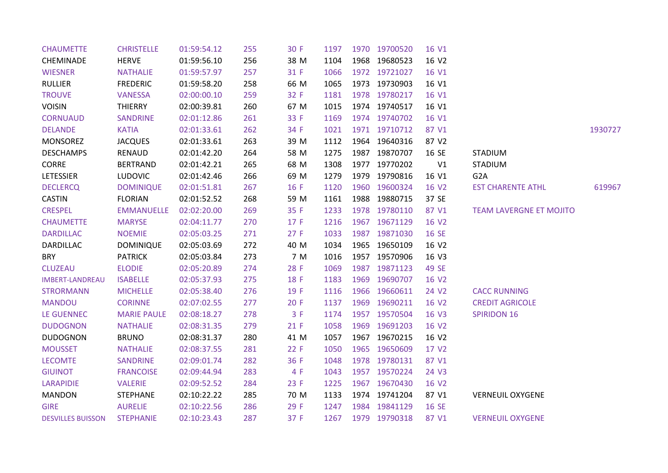| <b>CHAUMETTE</b>         | <b>CHRISTELLE</b>  | 01:59:54.12 | 255 | 30 F | 1197 | 1970 19700520 | 16 V1 |                                |         |
|--------------------------|--------------------|-------------|-----|------|------|---------------|-------|--------------------------------|---------|
| <b>CHEMINADE</b>         | <b>HERVE</b>       | 01:59:56.10 | 256 | 38 M | 1104 | 1968 19680523 | 16 V2 |                                |         |
| <b>WIESNER</b>           | <b>NATHALIE</b>    | 01:59:57.97 | 257 | 31 F | 1066 | 1972 19721027 | 16 V1 |                                |         |
| <b>RULLIER</b>           | <b>FREDERIC</b>    | 01:59:58.20 | 258 | 66 M | 1065 | 1973 19730903 | 16 V1 |                                |         |
| <b>TROUVE</b>            | <b>VANESSA</b>     | 02:00:00.10 | 259 | 32 F | 1181 | 1978 19780217 | 16 V1 |                                |         |
| <b>VOISIN</b>            | THIERRY            | 02:00:39.81 | 260 | 67 M | 1015 | 1974 19740517 | 16 V1 |                                |         |
| <b>CORNUAUD</b>          | <b>SANDRINE</b>    | 02:01:12.86 | 261 | 33 F | 1169 | 1974 19740702 | 16 V1 |                                |         |
| <b>DELANDE</b>           | <b>KATIA</b>       | 02:01:33.61 | 262 | 34 F | 1021 | 1971 19710712 | 87 V1 |                                | 1930727 |
| <b>MONSOREZ</b>          | <b>JACQUES</b>     | 02:01:33.61 | 263 | 39 M | 1112 | 1964 19640316 | 87 V2 |                                |         |
| <b>DESCHAMPS</b>         | RENAUD             | 02:01:42.20 | 264 | 58 M | 1275 | 1987 19870707 | 16 SE | <b>STADIUM</b>                 |         |
| CORRE                    | <b>BERTRAND</b>    | 02:01:42.21 | 265 | 68 M | 1308 | 1977 19770202 | V1    | <b>STADIUM</b>                 |         |
| LETESSIER                | <b>LUDOVIC</b>     | 02:01:42.46 | 266 | 69 M | 1279 | 1979 19790816 | 16 V1 | G <sub>2</sub> A               |         |
| <b>DECLERCQ</b>          | <b>DOMINIQUE</b>   | 02:01:51.81 | 267 | 16 F | 1120 | 1960 19600324 | 16 V2 | <b>EST CHARENTE ATHL</b>       | 619967  |
| <b>CASTIN</b>            | <b>FLORIAN</b>     | 02:01:52.52 | 268 | 59 M | 1161 | 1988 19880715 | 37 SE |                                |         |
| <b>CRESPEL</b>           | <b>EMMANUELLE</b>  | 02:02:20.00 | 269 | 35 F | 1233 | 1978 19780110 | 87 V1 | <b>TEAM LAVERGNE ET MOJITO</b> |         |
| <b>CHAUMETTE</b>         | <b>MARYSE</b>      | 02:04:11.77 | 270 | 17 F | 1216 | 1967 19671129 | 16 V2 |                                |         |
| <b>DARDILLAC</b>         | <b>NOEMIE</b>      | 02:05:03.25 | 271 | 27 F | 1033 | 1987 19871030 | 16 SE |                                |         |
| <b>DARDILLAC</b>         | <b>DOMINIQUE</b>   | 02:05:03.69 | 272 | 40 M | 1034 | 1965 19650109 | 16 V2 |                                |         |
| <b>BRY</b>               | <b>PATRICK</b>     | 02:05:03.84 | 273 | 7 M  | 1016 | 1957 19570906 | 16 V3 |                                |         |
| <b>CLUZEAU</b>           | <b>ELODIE</b>      | 02:05:20.89 | 274 | 28 F | 1069 | 1987 19871123 | 49 SE |                                |         |
| <b>IMBERT-LANDREAU</b>   | <b>ISABELLE</b>    | 02:05:37.93 | 275 | 18 F | 1183 | 1969 19690707 | 16 V2 |                                |         |
| <b>STRORMANN</b>         | <b>MICHELLE</b>    | 02:05:38.40 | 276 | 19 F | 1116 | 1966 19660611 | 24 V2 | <b>CACC RUNNING</b>            |         |
| <b>MANDOU</b>            | <b>CORINNE</b>     | 02:07:02.55 | 277 | 20 F | 1137 | 1969 19690211 | 16 V2 | <b>CREDIT AGRICOLE</b>         |         |
| <b>LE GUENNEC</b>        | <b>MARIE PAULE</b> | 02:08:18.27 | 278 | 3 F  | 1174 | 1957 19570504 | 16 V3 | <b>SPIRIDON 16</b>             |         |
| <b>DUDOGNON</b>          | <b>NATHALIE</b>    | 02:08:31.35 | 279 | 21 F | 1058 | 1969 19691203 | 16 V2 |                                |         |
| <b>DUDOGNON</b>          | <b>BRUNO</b>       | 02:08:31.37 | 280 | 41 M | 1057 | 1967 19670215 | 16 V2 |                                |         |
| <b>MOUSSET</b>           | <b>NATHALIE</b>    | 02:08:37.55 | 281 | 22 F | 1050 | 1965 19650609 | 17 V2 |                                |         |
| <b>LECOMTE</b>           | <b>SANDRINE</b>    | 02:09:01.74 | 282 | 36 F | 1048 | 1978 19780131 | 87 V1 |                                |         |
| <b>GIUINOT</b>           | <b>FRANCOISE</b>   | 02:09:44.94 | 283 | 4 F  | 1043 | 1957 19570224 | 24 V3 |                                |         |
| <b>LARAPIDIE</b>         | <b>VALERIE</b>     | 02:09:52.52 | 284 | 23 F | 1225 | 1967 19670430 | 16 V2 |                                |         |
| <b>MANDON</b>            | <b>STEPHANE</b>    | 02:10:22.22 | 285 | 70 M | 1133 | 1974 19741204 | 87 V1 | <b>VERNEUIL OXYGENE</b>        |         |
| <b>GIRE</b>              | <b>AURELIE</b>     | 02:10:22.56 | 286 | 29 F | 1247 | 1984 19841129 | 16 SE |                                |         |
| <b>DESVILLES BUISSON</b> | <b>STEPHANIE</b>   | 02:10:23.43 | 287 | 37 F | 1267 | 1979 19790318 | 87 V1 | <b>VERNEUIL OXYGENE</b>        |         |